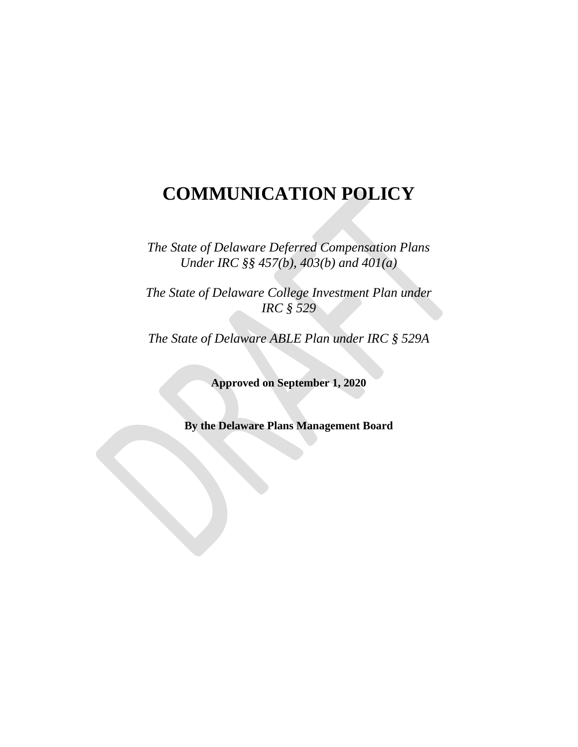# **COMMUNICATION POLICY**

*The State of Delaware Deferred Compensation Plans Under IRC §§ 457(b), 403(b) and 401(a)*

*The State of Delaware College Investment Plan under IRC § 529*

*The State of Delaware ABLE Plan under IRC § 529A*

**Approved on September 1, 2020**

**By the Delaware Plans Management Board**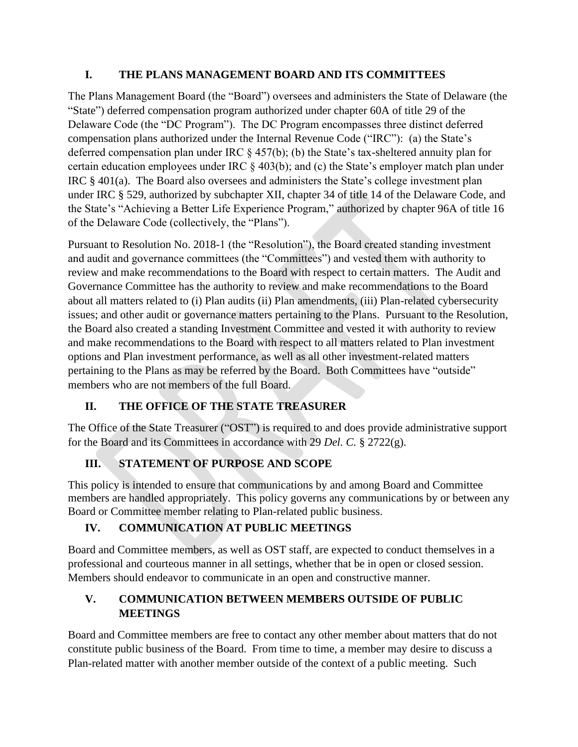#### **I. THE PLANS MANAGEMENT BOARD AND ITS COMMITTEES**

The Plans Management Board (the "Board") oversees and administers the State of Delaware (the "State") deferred compensation program authorized under chapter 60A of title 29 of the Delaware Code (the "DC Program"). The DC Program encompasses three distinct deferred compensation plans authorized under the Internal Revenue Code ("IRC"): (a) the State's deferred compensation plan under IRC § 457(b); (b) the State's tax-sheltered annuity plan for certain education employees under IRC § 403(b); and (c) the State's employer match plan under IRC § 401(a). The Board also oversees and administers the State's college investment plan under IRC § 529, authorized by subchapter XII, chapter 34 of title 14 of the Delaware Code, and the State's "Achieving a Better Life Experience Program," authorized by chapter 96A of title 16 of the Delaware Code (collectively, the "Plans").

Pursuant to Resolution No. 2018-1 (the "Resolution"), the Board created standing investment and audit and governance committees (the "Committees") and vested them with authority to review and make recommendations to the Board with respect to certain matters. The Audit and Governance Committee has the authority to review and make recommendations to the Board about all matters related to (i) Plan audits (ii) Plan amendments, (iii) Plan-related cybersecurity issues; and other audit or governance matters pertaining to the Plans. Pursuant to the Resolution, the Board also created a standing Investment Committee and vested it with authority to review and make recommendations to the Board with respect to all matters related to Plan investment options and Plan investment performance, as well as all other investment-related matters pertaining to the Plans as may be referred by the Board. Both Committees have "outside" members who are not members of the full Board.

# **II. THE OFFICE OF THE STATE TREASURER**

The Office of the State Treasurer ("OST") is required to and does provide administrative support for the Board and its Committees in accordance with 29 *Del. C.* § 2722(g).

# **III. STATEMENT OF PURPOSE AND SCOPE**

This policy is intended to ensure that communications by and among Board and Committee members are handled appropriately. This policy governs any communications by or between any Board or Committee member relating to Plan-related public business.

# **IV. COMMUNICATION AT PUBLIC MEETINGS**

Board and Committee members, as well as OST staff, are expected to conduct themselves in a professional and courteous manner in all settings, whether that be in open or closed session. Members should endeavor to communicate in an open and constructive manner.

#### **V. COMMUNICATION BETWEEN MEMBERS OUTSIDE OF PUBLIC MEETINGS**

Board and Committee members are free to contact any other member about matters that do not constitute public business of the Board. From time to time, a member may desire to discuss a Plan-related matter with another member outside of the context of a public meeting. Such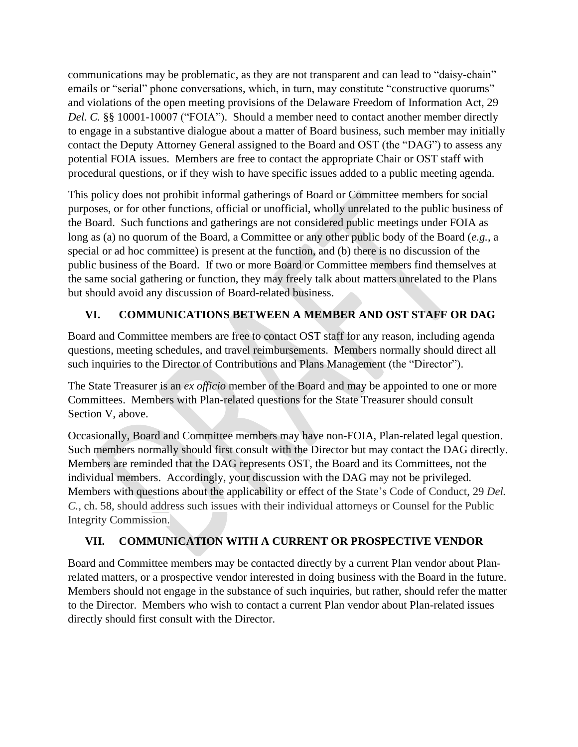communications may be problematic, as they are not transparent and can lead to "daisy-chain" emails or "serial" phone conversations, which, in turn, may constitute "constructive quorums" and violations of the open meeting provisions of the Delaware Freedom of Information Act, 29 *Del. C.* §§ 10001-10007 ("FOIA"). Should a member need to contact another member directly to engage in a substantive dialogue about a matter of Board business, such member may initially contact the Deputy Attorney General assigned to the Board and OST (the "DAG") to assess any potential FOIA issues. Members are free to contact the appropriate Chair or OST staff with procedural questions, or if they wish to have specific issues added to a public meeting agenda.

This policy does not prohibit informal gatherings of Board or Committee members for social purposes, or for other functions, official or unofficial, wholly unrelated to the public business of the Board. Such functions and gatherings are not considered public meetings under FOIA as long as (a) no quorum of the Board, a Committee or any other public body of the Board (*e.g.*, a special or ad hoc committee) is present at the function, and (b) there is no discussion of the public business of the Board. If two or more Board or Committee members find themselves at the same social gathering or function, they may freely talk about matters unrelated to the Plans but should avoid any discussion of Board-related business.

# **VI. COMMUNICATIONS BETWEEN A MEMBER AND OST STAFF OR DAG**

Board and Committee members are free to contact OST staff for any reason, including agenda questions, meeting schedules, and travel reimbursements. Members normally should direct all such inquiries to the Director of Contributions and Plans Management (the "Director").

The State Treasurer is an *ex officio* member of the Board and may be appointed to one or more Committees. Members with Plan-related questions for the State Treasurer should consult Section V, above.

Occasionally, Board and Committee members may have non-FOIA, Plan-related legal question. Such members normally should first consult with the Director but may contact the DAG directly. Members are reminded that the DAG represents OST, the Board and its Committees, not the individual members. Accordingly, your discussion with the DAG may not be privileged. Members with questions about the applicability or effect of the State's Code of Conduct, 29 *Del. C.*, ch. 58, should address such issues with their individual attorneys or Counsel for the Public Integrity Commission.

# **VII. COMMUNICATION WITH A CURRENT OR PROSPECTIVE VENDOR**

Board and Committee members may be contacted directly by a current Plan vendor about Planrelated matters, or a prospective vendor interested in doing business with the Board in the future. Members should not engage in the substance of such inquiries, but rather, should refer the matter to the Director. Members who wish to contact a current Plan vendor about Plan-related issues directly should first consult with the Director.